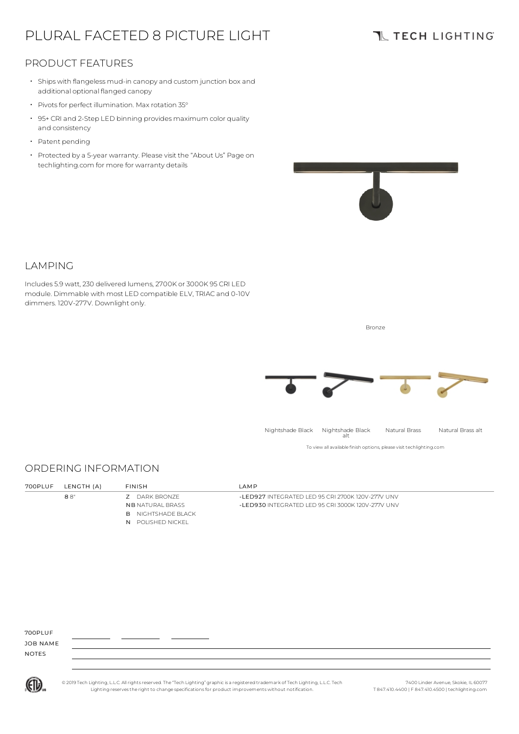# PLURAL FACETED 8 PICTURE LIGHT

### **TL TECH LIGHTING**

#### PRODUCT FEATURES

- Ships with flangeless mud-in canopy and custom junction box and additional optional flanged canopy
- Pivots for perfect illumination. Max rotation 35°
- 95+ CRI and 2-Step LED binning provides maximum color quality and consistency
- Patent pending

LAMPING

• Protected by a 5-year warranty. Please visit the "About Us" Page on techlighting.com for more for warranty details

Includes 5.9 watt, 230 delivered lumens, 2700K or 3000K 95 CRI LED module. Dimmable with most LED compatible ELV, TRIAC and 0-10V



## ORDERING INFORMATION

dimmers. 120V-277V. Downlight only.

| 700PLUF | LENGTH (A) | <b>FINISH</b>             | I AMP                                             |
|---------|------------|---------------------------|---------------------------------------------------|
|         | 88"        | <b>7</b> DARK BRONZE      | -LED927 INTEGRATED LED 95 CRI 2700K 120V-277V UNV |
|         |            | <b>NB</b> NATURAL BRASS   | -LED930 INTEGRATED LED 95 CRI 3000K 120V-277V UNV |
|         |            | <b>B</b> NIGHTSHADE BLACK |                                                   |
|         |            | N POLISHED NICKEL         |                                                   |

JOB NAME NOTES



© 2019 Tech Lighting, L.L.C. All rightsreserved. The "Tech Lighting" graphicis a registered trademark of Tech Lighting, L.L.C. Tech Lighting reservesthe right to change specificationsfor product improvements without notification.

7400 Linder Avenue, Skokie, IL 60077 T 847.410.4400 | F 847.410.4500 | techlighting.com